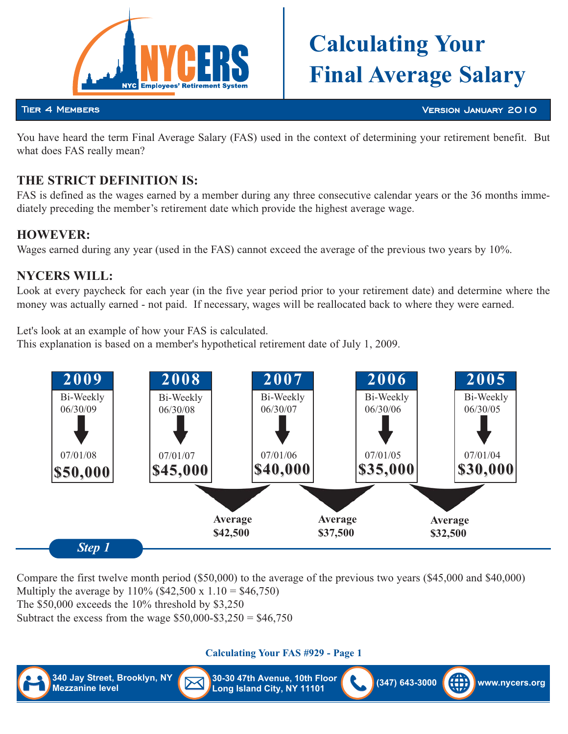

# **CALCULATING** TO **Final Average Salary**

#### Tier 4 Members

Version January 2010

You have heard the term Final Average Salary (FAS) used in the context of determining your retirement benefit. But what does FAS really mean?

# THE STRICT DEFINITION IS:

FAS is defined as the wages earned by a member during any three consecutive calendar years or the 36 months immediately preceding the member's retirement date which provide the highest average wage.

### **HOWEVER:**

**HOWEVER:** Wages earned during any year (used in the FAS) cannot exceed the average of the previous two years by 10%.

# **NYCERS WILL:**

Look at every paycheck for each year (in the five year period prior to your retirement date) and determine where the money was actually earned - not paid. If necessary, wages will be reallocated back to where they were earned.

Let's look at an example of how your FAS is calculated.

This explanation is based on a member's hypothetical retirement date of July 1, 2009.



Compare the first twelve month period (\$50,000) to the average of the previous two years (\$45,000 and \$40,000) Multiply the average by  $110\%$  (\$42,500 x  $1.10 = $46,750$ ) The \$50,000 exceeds the 10% threshold by \$3,250 Subtract the excess from the wage  $$50,000$ - $$3,250 = $46,750$ 

**Calculating Your FAS #929 - Page 1**